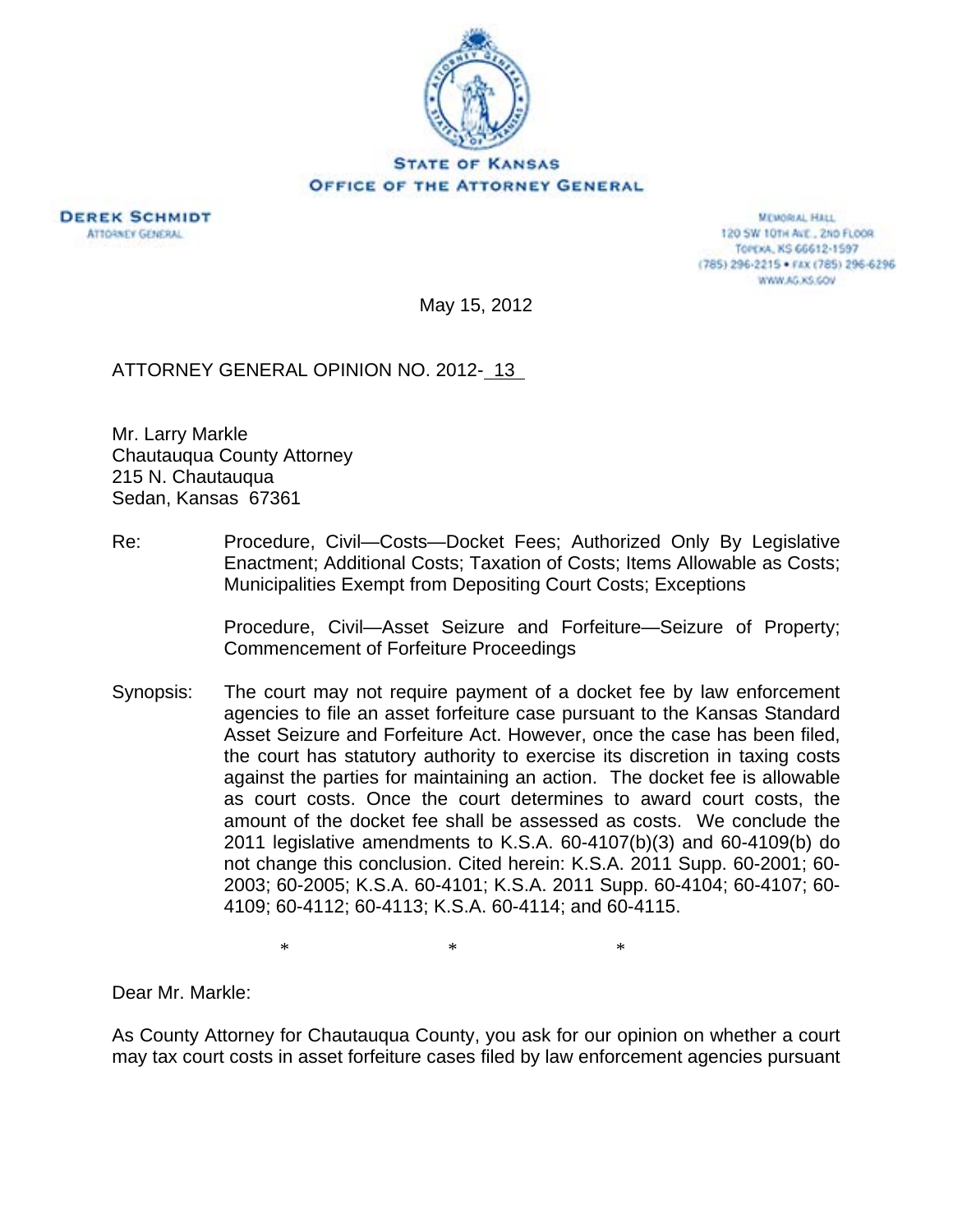

**DEREK SCHMIDT ATTORNEY GENERAL** 

**MEMORIAL HALL** 120 SW 101H AVE., 2ND FLOOR TOPEXA, KS 66612-1597 (785) 296-2215 · FAX (785) 296-6296 WWW.AG.XS.GOV

May 15, 2012

ATTORNEY GENERAL OPINION NO. 2012- 13

Mr. Larry Markle Chautauqua County Attorney 215 N. Chautauqua Sedan, Kansas 67361

Re: Procedure, Civil—Costs—Docket Fees; Authorized Only By Legislative Enactment; Additional Costs; Taxation of Costs; Items Allowable as Costs; Municipalities Exempt from Depositing Court Costs; Exceptions

> Procedure, Civil—Asset Seizure and Forfeiture—Seizure of Property; Commencement of Forfeiture Proceedings

Synopsis: The court may not require payment of a docket fee by law enforcement agencies to file an asset forfeiture case pursuant to the Kansas Standard Asset Seizure and Forfeiture Act. However, once the case has been filed, the court has statutory authority to exercise its discretion in taxing costs against the parties for maintaining an action. The docket fee is allowable as court costs. Once the court determines to award court costs, the amount of the docket fee shall be assessed as costs. We conclude the 2011 legislative amendments to K.S.A. 60-4107(b)(3) and 60-4109(b) do not change this conclusion. Cited herein: K.S.A. 2011 Supp. 60-2001; 60- 2003; 60-2005; K.S.A. 60-4101; K.S.A. 2011 Supp. 60-4104; 60-4107; 60- 4109; 60-4112; 60-4113; K.S.A. 60-4114; and 60-4115.

 $*$   $*$   $*$ 

Dear Mr. Markle:

As County Attorney for Chautauqua County, you ask for our opinion on whether a court may tax court costs in asset forfeiture cases filed by law enforcement agencies pursuant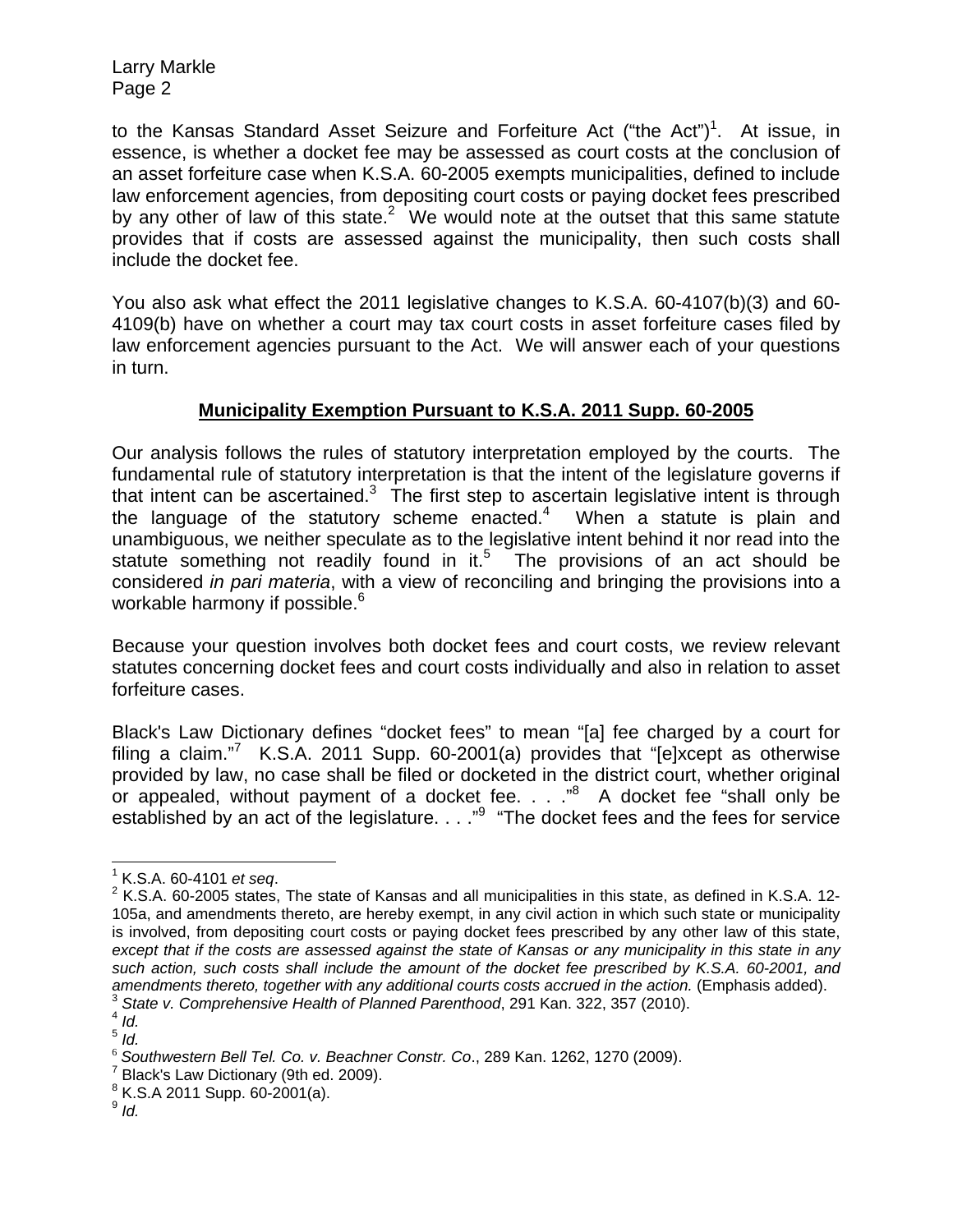to the Kansas Standard Asset Seizure and Forfeiture Act ("the Act")<sup>1</sup>. At issue, in essence, is whether a docket fee may be assessed as court costs at the conclusion of an asset forfeiture case when K.S.A. 60-2005 exempts municipalities, defined to include law enforcement agencies, from depositing court costs or paying docket fees prescribed by any other of law of this state. $2 \times 10^{-4}$  We would note at the outset that this same statute provides that if costs are assessed against the municipality, then such costs shall include the docket fee.

You also ask what effect the 2011 legislative changes to K.S.A. 60-4107(b)(3) and 60- 4109(b) have on whether a court may tax court costs in asset forfeiture cases filed by law enforcement agencies pursuant to the Act. We will answer each of your questions in turn.

## **Municipality Exemption Pursuant to K.S.A. 2011 Supp. 60-2005**

Our analysis follows the rules of statutory interpretation employed by the courts. The fundamental rule of statutory interpretation is that the intent of the legislature governs if that intent can be ascertained. $3$  The first step to ascertain legislative intent is through the language of the statutory scheme enacted. $4$  When a statute is plain and unambiguous, we neither speculate as to the legislative intent behind it nor read into the statute something not readily found in it. $5$  The provisions of an act should be considered *in pari materia*, with a view of reconciling and bringing the provisions into a workable harmony if possible.<sup>6</sup>

Because your question involves both docket fees and court costs, we review relevant statutes concerning docket fees and court costs individually and also in relation to asset forfeiture cases.

Black's Law Dictionary defines "docket fees" to mean "[a] fee charged by a court for filing a claim."<sup>7</sup> K.S.A. 2011 Supp. 60-2001(a) provides that "[e]xcept as otherwise provided by law, no case shall be filed or docketed in the district court, whether original or appealed, without payment of a docket fee. . . ."<sup>8</sup> A docket fee "shall only be established by an act of the legislature. . . . "<sup>9</sup> "The docket fees and the fees for service

 $\overline{a}$ <sup>1</sup> K.S.A. 60-4101 *et seq.*<br><sup>2</sup> K.S.A. 60.2005 atotas.

 $2$  K.S.A. 60-2005 states, The state of Kansas and all municipalities in this state, as defined in K.S.A. 12-105a, and amendments thereto, are hereby exempt, in any civil action in which such state or municipality is involved, from depositing court costs or paying docket fees prescribed by any other law of this state, *except that if the costs are assessed against the state of Kansas or any municipality in this state in any such action, such costs shall include the amount of the docket fee prescribed by K.S.A. 60-2001, and amendments thereto, together with any additional courts costs accrued in the action.* (Emphasis added).<br><sup>3</sup> *State v. Comprehensive Health of Planned Parenthood, 291 Kan. 322, 357 (2010).*<br><sup>4</sup> *Id.* 

 $5$  *Id.* 

<sup>6</sup> *Southwestern Bell Tel. Co. v. Beachner Constr. Co*., 289 Kan. 1262, 1270 (2009). <sup>7</sup>

 $^7$  Black's Law Dictionary (9th ed. 2009).

 $8$  K.S.A 2011 Supp. 60-2001(a).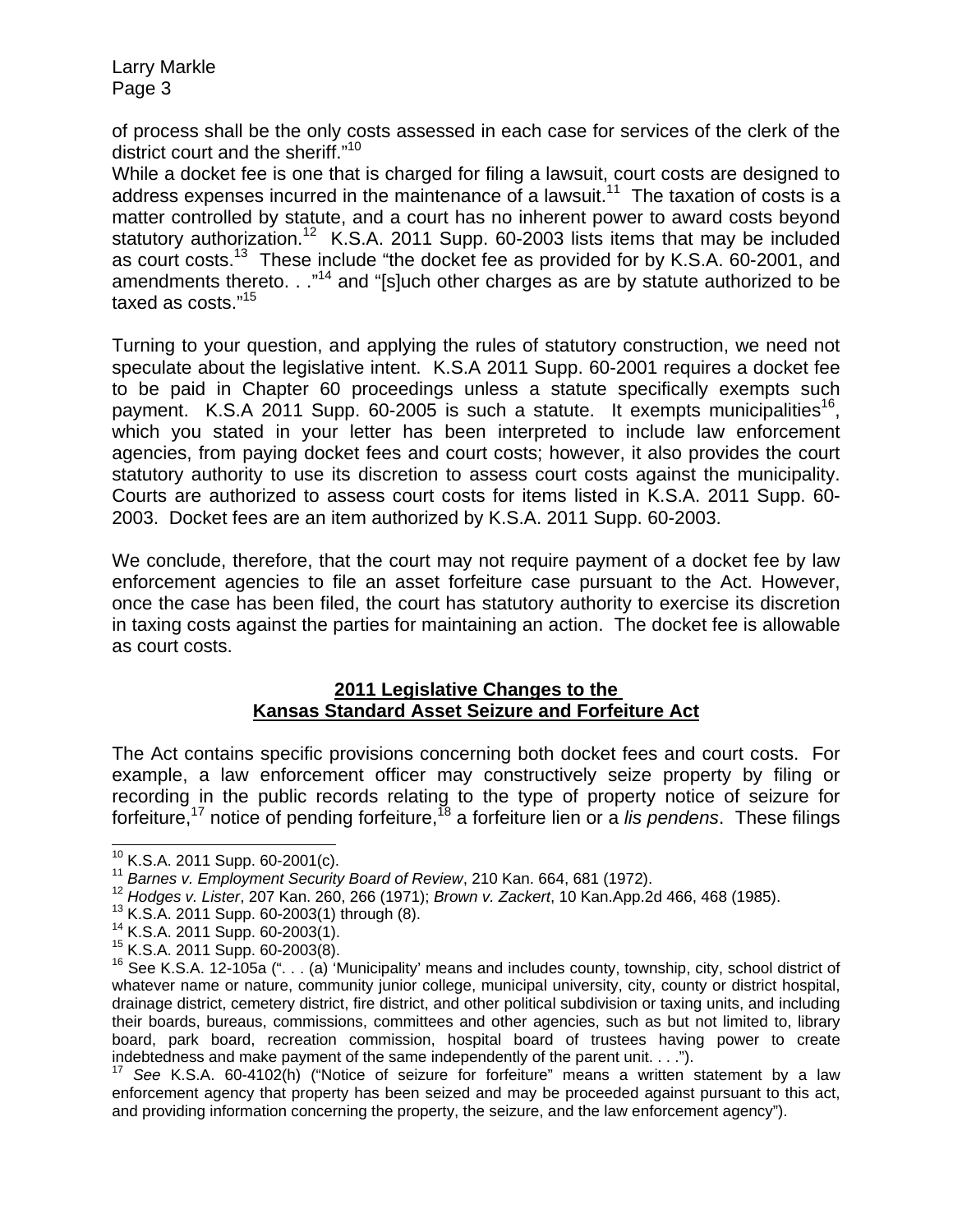of process shall be the only costs assessed in each case for services of the clerk of the district court and the sheriff."<sup>10</sup>

While a docket fee is one that is charged for filing a lawsuit, court costs are designed to address expenses incurred in the maintenance of a lawsuit.<sup>11</sup> The taxation of costs is a matter controlled by statute, and a court has no inherent power to award costs beyond statutory authorization.<sup>12</sup> K.S.A. 2011 Supp. 60-2003 lists items that may be included as court costs.13 These include "the docket fee as provided for by K.S.A. 60-2001, and amendments thereto. . ."<sup>14</sup> and "[s]uch other charges as are by statute authorized to be taxed as costs."<sup>15</sup>

Turning to your question, and applying the rules of statutory construction, we need not speculate about the legislative intent. K.S.A 2011 Supp. 60-2001 requires a docket fee to be paid in Chapter 60 proceedings unless a statute specifically exempts such payment. K.S.A 2011 Supp. 60-2005 is such a statute. It exempts municipalities<sup>16</sup>, which you stated in your letter has been interpreted to include law enforcement agencies, from paying docket fees and court costs; however, it also provides the court statutory authority to use its discretion to assess court costs against the municipality. Courts are authorized to assess court costs for items listed in K.S.A. 2011 Supp. 60- 2003. Docket fees are an item authorized by K.S.A. 2011 Supp. 60-2003.

We conclude, therefore, that the court may not require payment of a docket fee by law enforcement agencies to file an asset forfeiture case pursuant to the Act. However, once the case has been filed, the court has statutory authority to exercise its discretion in taxing costs against the parties for maintaining an action. The docket fee is allowable as court costs.

## **2011 Legislative Changes to the Kansas Standard Asset Seizure and Forfeiture Act**

The Act contains specific provisions concerning both docket fees and court costs. For example, a law enforcement officer may constructively seize property by filing or recording in the public records relating to the type of property notice of seizure for forfeiture,17 notice of pending forfeiture,18 a forfeiture lien or a *lis pendens*. These filings

 $10$  K.S.A. 2011 Supp. 60-2001(c).

<sup>&</sup>lt;sup>11</sup> Barnes v. Employment Security Board of Review, 210 Kan. 664, 681 (1972).<br><sup>12</sup> Hodges v. Lister, 207 Kan. 260, 266 (1971); *Brown v. Zackert*, 10 Kan.App.2d 466, 468 (1985).<br><sup>13</sup> K.S.A. 2011 Supp. 60-2003(1) through (

whatever name or nature, community junior college, municipal university, city, county or district hospital, drainage district, cemetery district, fire district, and other political subdivision or taxing units, and including their boards, bureaus, commissions, committees and other agencies, such as but not limited to, library board, park board, recreation commission, hospital board of trustees having power to create indebtedness and make payment of the same independently of the parent unit. . . .").<br><sup>17</sup> See K.S.A. 60-4102(h) ("Notice of seizure for forfeiture" means a written statement by a law

enforcement agency that property has been seized and may be proceeded against pursuant to this act, and providing information concerning the property, the seizure, and the law enforcement agency").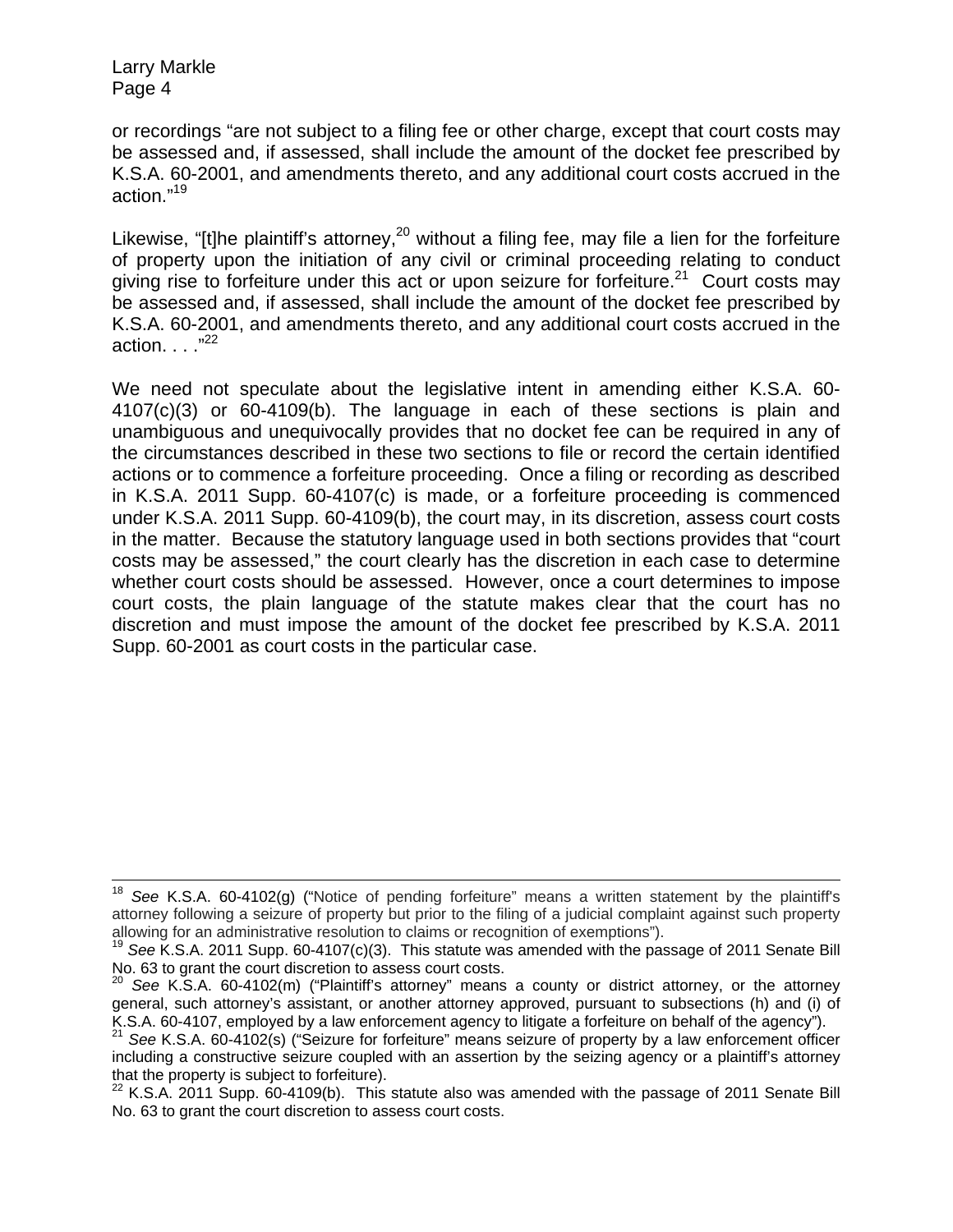or recordings "are not subject to a filing fee or other charge, except that court costs may be assessed and, if assessed, shall include the amount of the docket fee prescribed by K.S.A. 60-2001, and amendments thereto, and any additional court costs accrued in the action."<sup>19</sup>

Likewise, "[t]he plaintiff's attorney,  $20$  without a filing fee, may file a lien for the forfeiture of property upon the initiation of any civil or criminal proceeding relating to conduct giving rise to forfeiture under this act or upon seizure for forfeiture.<sup>21</sup> Court costs may be assessed and, if assessed, shall include the amount of the docket fee prescribed by K.S.A. 60-2001, and amendments thereto, and any additional court costs accrued in the action.  $\cdot$  .  $^{22}$ 

We need not speculate about the legislative intent in amending either K.S.A. 60- 4107(c)(3) or 60-4109(b). The language in each of these sections is plain and unambiguous and unequivocally provides that no docket fee can be required in any of the circumstances described in these two sections to file or record the certain identified actions or to commence a forfeiture proceeding. Once a filing or recording as described in K.S.A. 2011 Supp. 60-4107(c) is made, or a forfeiture proceeding is commenced under K.S.A. 2011 Supp. 60-4109(b), the court may, in its discretion, assess court costs in the matter. Because the statutory language used in both sections provides that "court costs may be assessed," the court clearly has the discretion in each case to determine whether court costs should be assessed. However, once a court determines to impose court costs, the plain language of the statute makes clear that the court has no discretion and must impose the amount of the docket fee prescribed by K.S.A. 2011 Supp. 60-2001 as court costs in the particular case.

See K.S.A. 60-4102(g) ("Notice of pending forfeiture" means a written statement by the plaintiff's attorney following a seizure of property but prior to the filing of a judicial complaint against such property allowing for an administrative resolution to claims or recognition of exemptions").

<sup>19</sup> *See* K.S.A. 2011 Supp. 60-4107(c)(3). This statute was amended with the passage of 2011 Senate Bill No. 63 to grant the court discretion to assess court costs.

<sup>20</sup> *See* K.S.A. 60-4102(m) ("Plaintiff's attorney" means a county or district attorney, or the attorney general, such attorney's assistant, or another attorney approved, pursuant to subsections (h) and (i) of K.S.A. 60-4107, employed by a law enforcement agency to liting at a forfeiture on behalf of the agency").

<sup>&</sup>lt;sup>21</sup> See K.S.A. 60-4102(s) ("Seizure for forfeiture" means seizure of property by a law enforcement officer including a constructive seizure coupled with an assertion by the seizing agency or a plaintiff's attorney that the property is subject to forfeiture).

<sup>22</sup> K.S.A. 2011 Supp. 60-4109(b). This statute also was amended with the passage of 2011 Senate Bill No. 63 to grant the court discretion to assess court costs.